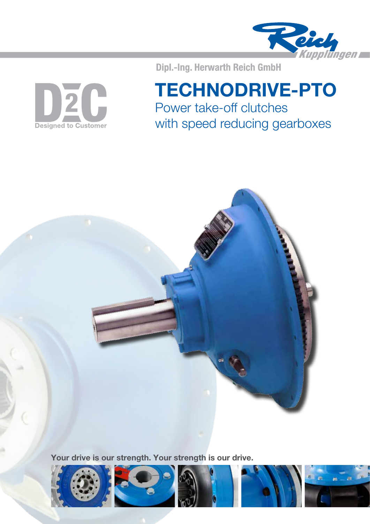

DZC **Designed to Customer** 

# Dipl.-Ing. Herwarth Reich GmbH TECHNODRIVE-PTO

Power take-off clutches with speed reducing gearboxes



Your drive is our strength. Your strength is our drive.

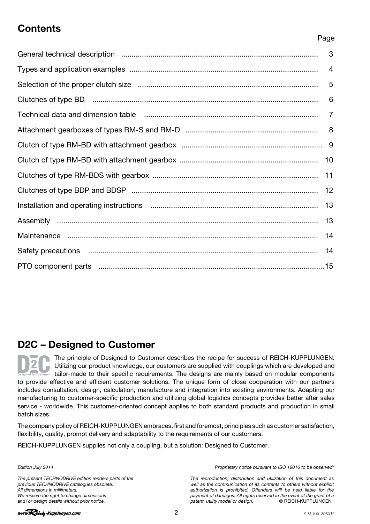# **Contents**

### Page

# D2C – Designed to Customer

The principle of Designed to Customer describes the recipe for success of REICH-KUPPLUNGEN: Utilizing our product knowledge, our customers are supplied with couplings which are developed and tailor-made to their specific requirements. The designs are mainly based on modular components to provide effective and efficient customer solutions. The unique form of close cooperation with our partners includes consultation, design, calculation, manufacture and integration into existing environments. Adapting our manufacturing to customer-specific production and utilizing global logistics concepts provides better after sales service - worldwide. This customer-oriented concept applies to both standard products and production in small batch sizes.

The company policy of REICH-KUPPLUNGEN embraces, first and foremost, principles such as customer satisfaction, flexibility, quality, prompt delivery and adaptability to the requirements of our customers.

REICH-KUPPLUNGEN supplies not only a coupling, but a solution: Designed to Customer.

### Edition July 2014

The present TECHNODRIVE edition renders parts of the previous TECHNODRIVE catalogues obsolete. All dimensions in millimeters. We reserve the right to change dimensions and/or design details without prior notice.

Proprietary notice pursuant to ISO 16016 to be observed:

The reproduction, distribution and utilization of this document as well as the communication of its contents to others without explicit authorization is prohibited. Offenders will be held liable for the payment of damages. All rights reserved in the event of the grant of a<br>patent, utility model or design. <br>
© REICH-KUPPLUNGEN patent, utility model or design.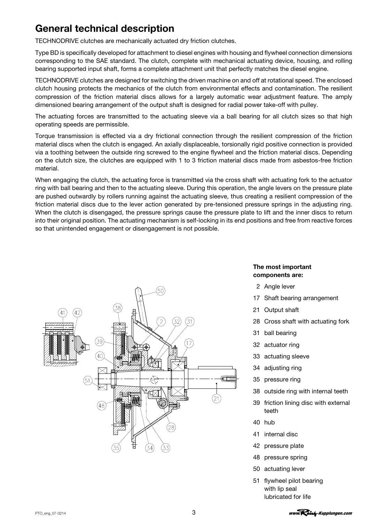# <span id="page-2-0"></span>General technical description

TECHNODRIVE clutches are mechanically actuated dry friction clutches.

Type BD is specifically developed for attachment to diesel engines with housing and flywheel connection dimensions corresponding to the SAE standard. The clutch, complete with mechanical actuating device, housing, and rolling bearing supported input shaft, forms a complete attachment unit that perfectly matches the diesel engine.

TECHNODRIVE clutches are designed for switching the driven machine on and off at rotational speed. The enclosed clutch housing protects the mechanics of the clutch from environmental effects and contamination. The resilient compression of the friction material discs allows for a largely automatic wear adjustment feature. The amply dimensioned bearing arrangement of the output shaft is designed for radial power take-off with pulley.

The actuating forces are transmitted to the actuating sleeve via a ball bearing for all clutch sizes so that high operating speeds are permissible.

Torque transmission is effected via a dry frictional connection through the resilient compression of the friction material discs when the clutch is engaged. An axially displaceable, torsionally rigid positive connection is provided via a toothing between the outside ring screwed to the engine flywheel and the friction material discs. Depending on the clutch size, the clutches are equipped with 1 to 3 friction material discs made from asbestos-free friction material.

When engaging the clutch, the actuating force is transmitted via the cross shaft with actuating fork to the actuator ring with ball bearing and then to the actuating sleeve. During this operation, the angle levers on the pressure plate are pushed outwardly by rollers running against the actuating sleeve, thus creating a resilient compression of the friction material discs due to the lever action generated by pre-tensioned pressure springs in the adjusting ring. When the clutch is disengaged, the pressure springs cause the pressure plate to lift and the inner discs to return into their original position. The actuating mechanism is self-locking in its end positions and free from reactive forces so that unintended engagement or disengagement is not possible.



### The most important components are:

- 2 Angle lever
- 17 Shaft bearing arrangement
- 21 Output shaft
- 28 Cross shaft with actuating fork
- 31 ball bearing
- 32 actuator ring
- 33 actuating sleeve
- 34 adjusting ring
- 35 pressure ring
- 38 outside ring with internal teeth
- 39 friction lining disc with external teeth
- 40 hub
- 41 internal disc
- 42 pressure plate
- 48 pressure spring
- 50 actuating lever
- 51 flywheel pilot bearing with lip seal lubricated for life

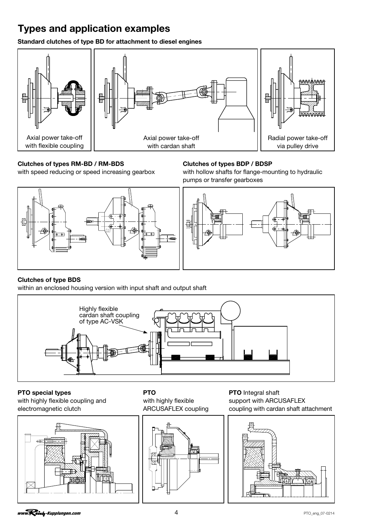# <span id="page-3-0"></span>Types and application examples

Standard clutches of type BD for attachment to diesel engines



### Clutches of types RM-BD / RM-BDS Clutches of types BDP / BDSP



with speed reducing or speed increasing gearbox with hollow shafts for flange-mounting to hydraulic pumps or transfer gearboxes



### Clutches of type BDS

within an enclosed housing version with input shaft and output shaft



**PTO** special types **PTO** PTO **PTO** PTO **PTO** Integral shaft

with highly flexible coupling and with highly flexible support with ARCUSAFLEX





electromagnetic clutch ARCUSAFLEX coupling coupling with cardan shaft attachment

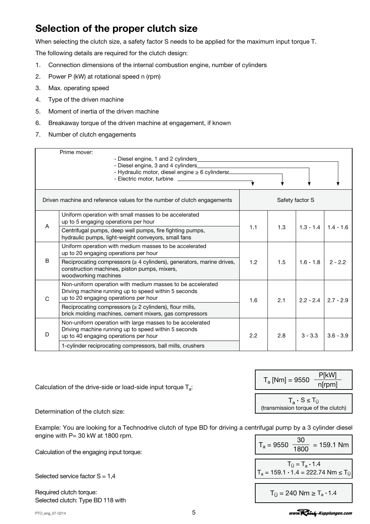# <span id="page-4-0"></span>Selection of the proper clutch size

When selecting the clutch size, a safety factor S needs to be applied for the maximum input torque T.

The following details are required for the clutch design:

- 1. Connection dimensions of the internal combustion engine, number of cylinders
- 2. Power P (kW) at rotational speed n (rpm)
- 3. Max. operating speed
- 4. Type of the driven machine
- 5. Moment of inertia of the driven machine
- 6. Breakaway torque of the driven machine at engagement, if known
- 7. Number of clutch engagements

|   | Prime mover:<br>- Diesel engine, 1 and 2 cylinders                                                                                                          |     |     |                 |             |
|---|-------------------------------------------------------------------------------------------------------------------------------------------------------------|-----|-----|-----------------|-------------|
|   | - Hydraulic motor, diesel engine ≥ 6 cylindersr                                                                                                             |     |     |                 |             |
|   |                                                                                                                                                             |     |     |                 |             |
|   | Driven machine and reference values for the number of clutch engagements                                                                                    |     |     | Safety factor S |             |
| A | Uniform operation with small masses to be accelerated<br>up to 5 engaging operations per hour                                                               |     |     |                 |             |
|   | Centrifugal pumps, deep well pumps, fire fighting pumps,<br>hydraulic pumps, light-weight conveyors, small fans                                             | 1.1 | 1.3 | $1.3 - 1.4$     | $1.4 - 1.6$ |
|   | Uniform operation with medium masses to be accelerated<br>up to 20 engaging operations per hour                                                             |     |     |                 |             |
| B | Reciprocating compressors ( $\geq 4$ cylinders), generators, marine drives,<br>construction machines, piston pumps, mixers,<br>woodworking machines         | 1.2 | 1.5 | $1.6 - 1.8$     | $2 - 2.2$   |
| C | Non-uniform operation with medium masses to be accelerated<br>Driving machine running up to speed within 5 seconds<br>up to 20 engaging operations per hour | 1.6 | 2.1 | $2.2 - 2.4$     | $2.7 - 2.9$ |
|   | Reciprocating compressors ( $\geq 2$ cylinders), flour mills,<br>brick molding machines, cement mixers, gas compressors                                     |     |     |                 |             |
| D | Non-uniform operation with large masses to be accelerated<br>Driving machine running up to speed within 5 seconds<br>up to 40 engaging operations per hour  | 2.2 | 2.8 | $3 - 3.3$       | $3.6 - 3.9$ |
|   | 1-cylinder reciprocating compressors, ball mills, crushers                                                                                                  |     |     |                 |             |

Calculation of the drive-side or load-side input torque  $T_a$ :

Determination of the clutch size:

Example: You are looking for a Technodrive clutch of type BD for driving a centrifugal pump by a 3 cylinder diesel engine with P= 30 kW at 1800 rpm.

Calculation of the engaging input torque:

Selected service factor S = 1,4

Required clutch torque: Selected clutch: Type BD 118 with

PTO\_eng\_07-0214 5

 $T_a$  [Nm] = 9550  $\frac{P[kW]}{P[kW]}$ n[rpm]  $T_a \cdot S \leq T_{\dot{U}}$ (transmission torque of the clutch)

$$
T_a = 9550 \frac{30}{1800} = 159.1 \text{ Nm}
$$
  

$$
T_{\ddot{U}} = T_a \cdot 1.4
$$
  

$$
T_a = 159.1 \cdot 1.4 = 222.74 \text{ Nm} \le T_{\ddot{U}}
$$
  

$$
T_{\ddot{U}} = 240 \text{ Nm} \ge T_a \cdot 1.4
$$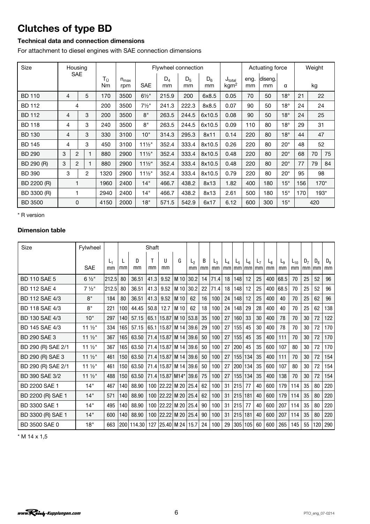# <span id="page-5-0"></span>Clutches of type BD

### Technical data and connection dimensions

For attachment to diesel engines with SAE connection dimensions

| Size           | Housing    |                |   |          |                      |                   | Flywheel connection |             |             |                                        |            | Actuating force |              |     | Weight |    |
|----------------|------------|----------------|---|----------|----------------------|-------------------|---------------------|-------------|-------------|----------------------------------------|------------|-----------------|--------------|-----|--------|----|
|                | <b>SAE</b> |                |   | Τü<br>Nm | $n_{\sf max}$<br>rpm | <b>SAE</b>        | $D_4$<br>mm         | $D_5$<br>mm | $D_6$<br>mm | $J_{\text{total}}$<br>kgm <sup>2</sup> | eng.<br>mm | diseng.<br>mm   | α            |     | kg     |    |
| <b>BD 110</b>  | 4          |                | 5 | 170      | 3500                 | $6\frac{1}{2}$ "  | 215.9               | 200         | 6x8.5       | 0.05                                   | 70         | 50              | $18^\circ$   | 21  | 22     |    |
| <b>BD 112</b>  |            | 4              |   | 200      | 3500                 | $7\frac{1}{2}$ "  | 241.3               | 222.3       | 8x8.5       | 0.07                                   | 90         | 50              | $18^{\circ}$ | 24  | 24     |    |
| <b>BD 112</b>  | 4          |                | 3 | 200      | 3500                 | 8"                | 263.5               | 244.5       | 6x10.5      | 0.08                                   | 90         | 50              | $18^\circ$   | 24  | 25     |    |
| <b>BD 118</b>  | 4          |                | 3 | 240      | 3500                 | 8"                | 263.5               | 244.5       | 6x10.5      | 0.09                                   | 110        | 80              | $18^\circ$   | 29  | 31     |    |
| <b>BD 130</b>  | 4          |                | 3 | 330      | 3100                 | 10"               | 314.3               | 295.3       | 8x11        | 0.14                                   | 220        | 80              | $18^\circ$   | 44  | 47     |    |
| <b>BD 145</b>  | 4          |                | 3 | 450      | 3100                 | $11\frac{1}{2}$   | 352.4               | 333.4       | 8x10.5      | 0.26                                   | 220        | 80              | $20^{\circ}$ | 48  | 52     |    |
| <b>BD 290</b>  | 3          | $\overline{c}$ | 1 | 880      | 2900                 | $11\frac{1}{2}$   | 352.4               | 333.4       | 8x10.5      | 0.48                                   | 220        | 80              | $20^{\circ}$ | 68  | 70     | 75 |
| BD 290 (R)     | 3          | $\overline{2}$ |   | 880      | 2900                 | $11\frac{1}{2}$ " | 352.4               | 333.4       | 8x10.5      | 0.48                                   | 220        | 80              | $20^{\circ}$ | 77  | 79     | 84 |
| <b>BD 390</b>  | 3          |                | 2 | 1320     | 2900                 | $11\frac{1}{2}$   | 352.4               | 333.4       | 8x10.5      | 0.79                                   | 220        | 80              | $20^{\circ}$ | 95  | 98     |    |
| BD 2200 (R)    |            | $\mathbf{1}$   |   | 1960     | 2400                 | 14"               | 466.7               | 438.2       | 8x13        | 1.82                                   | 400        | 180             | $15^{\circ}$ | 156 | $170*$ |    |
| BD 3300 (R)    |            | 1              |   | 2940     | 2400                 | 14"               | 466.7               | 438.2       | 8x13        | 2.61                                   | 500        | 180             | $15^{\circ}$ | 170 | 193*   |    |
| <b>BD 3500</b> |            | 0              |   | 4150     | 2000                 | 18"               | 571.5               | 542.9       | 6x17        | 6.12                                   | 600        | 300             | $15^{\circ}$ |     | 420    |    |

\* R version

### Dimension table

| Size                | Fylwheel         |             |     |         | Shaft            |                 |                            |          |         |             |             |             |             |                      |                      |             |                |                      |             |               |
|---------------------|------------------|-------------|-----|---------|------------------|-----------------|----------------------------|----------|---------|-------------|-------------|-------------|-------------|----------------------|----------------------|-------------|----------------|----------------------|-------------|---------------|
|                     | <b>SAE</b>       | $L_1$<br>mm | mm  | D<br>mm | mm               | Ħ<br>mm         | G                          | L2<br>mm | B<br>mm | $L_3$<br>mm | $L_4$<br>mm | $L_5$<br>mm | $L_6$<br>mm | L <sub>7</sub><br>mm | L <sub>8</sub><br>mm | $L_9$<br>mm | $L_{10}$<br>mm | D <sub>7</sub><br>mm | $D_8$<br>mm | $D_{9}$<br>mm |
| <b>BD 110 SAE 5</b> | $6\frac{1}{2}$ " | 212.5       | 80  | 36.51   | 41.3             | 9.52            | M 10                       | 30.2     | 14      | 71.4        | 18          | 148         | 12          | 25                   | 400                  | 68.5        | 70             | 25                   | 52          | 96            |
| <b>BD 112 SAE 4</b> | $7\frac{1}{2}$ " | 212.5       | 80  | 36.51   | 41.3             | 9.52            | M 10                       | 30.2     | 22      | 71.4        | 18          | 148         | 12          | 25                   | 400                  | 68.5        | 70             | 25                   | 52          | 96            |
| BD 112 SAE 4/3      | 8"               | 184         | 80  | 36.51   | 41.3             | 9.52            | M 10                       | 62       | 16      | 100         | 24          | 148         | 12          | 25                   | 400                  | 40          | 70             | 25                   | 62          | 96            |
| BD 118 SAE 4/3      | 8"               | 221         | 100 | 44.45   | 50.8             | 12.7            | M 10                       | 62       | 18      | 100         | 24          | 148         | 29          | 28                   | 400                  | 40          | 70             | 25                   | 62          | 138           |
| BD 130 SAE 4/3      | 10"              | 297         | 140 | 57.15   | 65.1             | 15.87           | M 10                       | 53.8     | 35      | 100         | 27          | 160         | 33          | 30                   | 400                  | 78          | 70             | 30                   | 72          | 122           |
| BD 145 SAE 4/3      | $11\frac{1}{2}$  | 334         | 165 | 57.15   | 65.1             | 15.87 M 14      |                            | 39.6     | 29      | 100         | 27          | 155         | 45          | 30                   | 400                  | 78          | 70             | 30                   | 72          | 170           |
| <b>BD 290 SAE 3</b> | $11\frac{1}{2}$  | 367         | 165 | 63.50   |                  | 71.4 15.87 M 14 |                            | 39.6     | 50      | 100         | 27          | 155         | 45          | 35                   | 400                  | 111         | 70             | 30                   | 72          | 170           |
| BD 290 (R) SAE 2/1  | $11\frac{1}{2}$  | 367         | 165 | 63.50   |                  |                 | 71.4 15.87 M 14 39.6       |          | 50      | 100         | 27          | 200         | 45          | 35                   | 600                  | 107         | 80             | 30                   | 72          | 170           |
| BD 290 (R) SAE 3    | $11\frac{1}{2}$  | 461         | 150 | 63.50   |                  |                 | 71.4   15.87   M 14   39.6 |          | 50      | 100         | 27          | 155         | 134         | 35                   | 400                  | 111         | 70             | 30                   | 72          | 154           |
| BD 290 (R) SAE 2/1  | $11\frac{1}{2}$  | 461         | 150 | 63.50   |                  |                 | 71.4 15.87 M 14 39.6       |          | 50      | 100         | 27          | 200         | 134         | 35                   | 600                  | 107         | 80             | 30                   | 72          | 154           |
| BD 390 SAE 3/2      | $11\frac{1}{2}$  | 488         | 150 | 63.50   |                  |                 | 71.4   15.87   M14*   39.6 |          | 75      | 100         | 27          | 155         | 134         | 35                   | 400                  | 138         | 70             | 30                   | 72          | 154           |
| BD 2200 SAE 1       | 14"              | 467         | 140 | 88.90   |                  |                 | 100 22.22 M 20 25.4        |          | 62      | 100         | 31          | 215         | 77          | 40                   | 600                  | 179         | 114            | 35                   | 80          | 220           |
| BD 2200 (R) SAE 1   | 14"              | 571         | 140 | 88.90   | 100 <sub>1</sub> |                 | 22.22 M 20 25.4            |          | 62      | 100         | 31          | 215         | 181         | 40                   | 600                  | 179         | 114            | 35                   | 80          | 220           |
| BD 3300 SAE 1       | 14"              | 495         | 140 | 88.90   | 100              |                 | 22.22 M 20                 | 25.4     | 90      | 100         | 31          | 215         | 77          | 40                   | 600                  | 207         | 114            | 35                   | 80          | 220           |
| BD 3300 (R) SAE 1   | 14"              | 600         | 140 | 88.90   | 100              |                 | 22.22 M 20                 | 25.4     | 90      | 100         | 31          | 215         | 181         | 40                   | 600                  | 207         | 114            | 35                   | 80          | 220           |
| BD 3500 SAE 0       | 18"              | 663         | 200 | 114.30  | 127              |                 | 25.40 M 24                 | 15.7     | 24      | 100         | 29          | 305         | 105         | 60                   | 600                  | 265         | 145            | 55                   | 120         | 290           |

\* M 14 x 1,5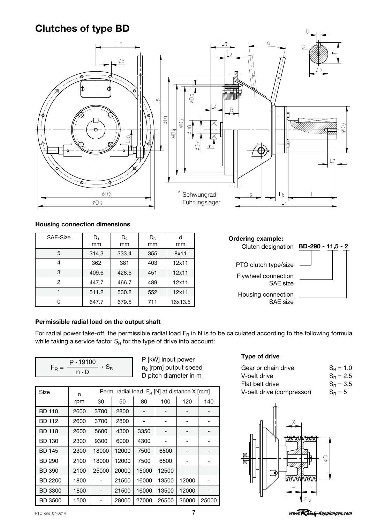# <span id="page-6-0"></span>Clutches of type BD



### Housing connection dimensions

| SAE-Size | $D_1$ | $D_2$ | $D_3$ | d       |
|----------|-------|-------|-------|---------|
|          | mm    | mm    | mm    | mm      |
| 5        | 314.3 | 333.4 | 355   | 8x11    |
| 4        | 362   | 381   | 403   | 12x11   |
| 3        | 409.6 | 428.6 | 451   | 12x11   |
| 2        | 447.7 | 466.7 | 489   | 12x11   |
|          | 511.2 | 530.2 | 552   | 12x11   |
|          | 647.7 | 679.5 | 711   | 16x13.5 |

## Ordering example: Clutch designation BD-290 - 11,5 - 2 PTO clutch type/size Flywheel connection SAE size Housing connection SAE size

### Permissible radial load on the output shaft

For radial power take-off, the permissible radial load  $F_R$  in N is to be calculated according to the following formula while taking a service factor  $S_R$  for the type of drive into account:

| $P \cdot 19100$ |  |
|-----------------|--|
| $n \cdot D$     |  |

P [kW] input power n2 [rpm] output speed D pitch diameter in m

|                |      |                          |                                             |       |       |       |                                        | TRI DUI UITU<br>$v_{\rm R}$ – $v$ |
|----------------|------|--------------------------|---------------------------------------------|-------|-------|-------|----------------------------------------|-----------------------------------|
| Size           | n    |                          | Perm. radial load FR [N] at distance X [mm] |       |       |       | V-belt drive (compressor)<br>$S_R = 5$ |                                   |
|                | rpm  | 30                       | 50                                          | 80    | 100   | 120   | 140                                    |                                   |
| <b>BD 110</b>  | 2600 | 3700                     | 2800                                        |       |       |       |                                        |                                   |
| <b>BD 112</b>  | 2600 | 3700                     | 2800                                        |       |       |       |                                        |                                   |
| <b>BD 118</b>  | 2600 | 5600                     | 4300                                        | 3350  |       |       |                                        |                                   |
| <b>BD 130</b>  | 2300 | 9300                     | 6000                                        | 4300  |       |       |                                        | <del>NAM</del> AMAAAA             |
| <b>BD 145</b>  | 2300 | 18000                    | 12000                                       | 7500  | 6500  |       |                                        | 区                                 |
| <b>BD 290</b>  | 2100 | 18000                    | 12000                                       | 7500  | 6500  |       |                                        | g<br>旧<br>ᡖ                       |
| <b>BD 390</b>  | 2100 | 25000                    | 20000                                       | 15000 | 12500 |       |                                        |                                   |
| <b>BD 2200</b> | 1800 |                          | 21500                                       | 16000 | 13500 | 12000 |                                        | <i>TAAWATA</i>                    |
| <b>BD 3300</b> | 1800 | $\overline{\phantom{0}}$ | 21500                                       | 16000 | 13500 | 12000 |                                        |                                   |
| <b>BD 3500</b> | 1500 |                          | 28000                                       | 27000 | 26500 | 26000 | 25000                                  | $\sqrt{F_R}$                      |

### Type of drive

| Gear or chain drive       | $S_{\rm B} = 1.0$ |
|---------------------------|-------------------|
| V-belt drive              | $S_{\rm B} = 2.5$ |
| Flat belt drive           | $S_{\rm B} = 3.5$ |
| V-belt drive (compressor) | $S_R = 5$         |



www.Reicly-Kupplungen.com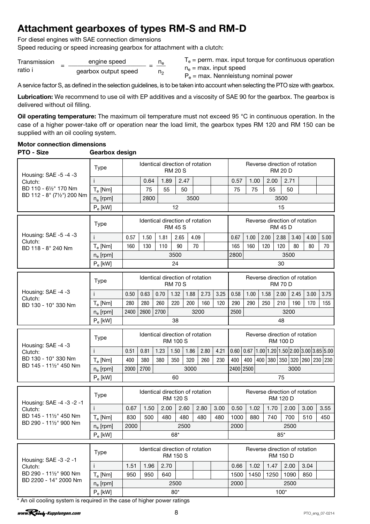# <span id="page-7-0"></span>Attachment gearboxes of types RM-S and RM-D

For diesel engines with SAE connection dimensions

Speed reducing or speed increasing gearbox for attachment with a clutch:

| Transmission | engine speed         | n, |  |
|--------------|----------------------|----|--|
| ratio i      | gearbox output speed | n. |  |

 $T_e$  = perm. max. input torque for continuous operation

 $n_e$  = max. input speed  $P_e$  = max. Nennleistung nominal power

A service factor S, as defined in the selection guidelines, is to be taken into account when selecting the PTO size with gearbox.

Lubrication: We recommend to use oil with EP additives and a viscosity of SAE 90 for the gearbox. The gearbox is delivered without oil filling.

Oil operating temperature: The maximum oil temperature must not exceed 95 °C in continuous operation. In the case of a higher power-take off or operation near the load limit, the gearbox types RM 120 and RM 150 can be supplied with an oil cooling system.

### Motor connection dimensions PTO - Size Gearbox design

|                                     | <b>Type</b>                                              |                              | Identical direction of rotation |      | <b>RM 20 S</b>  |      |      |      |                               |      |      | <b>RM 20 D</b>  |      | Reverse direction of rotation |                                                                                                 |
|-------------------------------------|----------------------------------------------------------|------------------------------|---------------------------------|------|-----------------|------|------|------|-------------------------------|------|------|-----------------|------|-------------------------------|-------------------------------------------------------------------------------------------------|
| Housing: SAE -5 -4 -3<br>Clutch:    |                                                          |                              | 0.64                            | 1.89 |                 | 2.47 |      |      | 0.57                          | 1.00 | 2.00 |                 | 2.71 |                               |                                                                                                 |
| BD 110 - 61/2" 170 Nm               | $T_e$ [Nm]                                               |                              | 75                              | 55   |                 | 50   |      |      | 75                            | 75   | 55   |                 | 50   |                               |                                                                                                 |
| BD 112 - 8" (71/2") 200 Nm          | $n_e$ [rpm]                                              |                              | 2800                            |      |                 | 3500 |      |      | 3500                          |      |      |                 |      |                               |                                                                                                 |
|                                     | $P_e$ [kW]                                               |                              |                                 |      | 12              |      |      |      |                               |      |      | 15              |      |                               |                                                                                                 |
|                                     |                                                          |                              | Identical direction of rotation |      |                 |      |      |      | Reverse direction of rotation |      |      |                 |      |                               |                                                                                                 |
|                                     | <b>Type</b>                                              |                              |                                 |      | <b>RM 45 S</b>  |      |      |      |                               |      |      | <b>RM 45 D</b>  |      |                               |                                                                                                 |
| Housing: SAE -5 -4 -3<br>Clutch:    |                                                          | 0.57                         | 1.50                            | 1.81 | 2.65            | 4.09 |      |      | 0.67                          | 1.00 | 2.00 | 2.88            | 3.40 | 4.00                          | 5.00                                                                                            |
| BD 118 - 8" 240 Nm                  | $T_e$ [Nm]                                               | 160                          | 130                             | 110  | 90              | 70   |      |      | 165                           | 160  | 120  | 120             | 80   | 80                            | 70                                                                                              |
|                                     | $n_e$ [rpm]                                              |                              |                                 |      | 3500            |      |      |      | 2800                          |      |      |                 | 3500 |                               |                                                                                                 |
|                                     | $P_e$ [kW]                                               |                              |                                 |      | 24              |      |      |      |                               |      |      | 30              |      |                               |                                                                                                 |
|                                     | <b>Type</b>                                              |                              | Identical direction of rotation |      | <b>RM 70 S</b>  |      |      |      |                               |      |      | <b>RM 70 D</b>  |      | Reverse direction of rotation |                                                                                                 |
| Housing: SAE -4 -3                  | j.                                                       | 0.50                         | 0.63                            | 0.70 | 1.32            | 1.88 | 2.73 | 3.25 | 0.58                          | 1.00 | 1.58 | 2.00            | 2.45 | 3.00                          | 3.75                                                                                            |
| Clutch:<br>BD 130 - 10" 330 Nm      | $T_e$ [Nm]                                               | 280                          | 280                             | 260  | 220             | 200  | 160  | 120  | 290                           | 290  | 250  | 210             | 190  | 170                           | 155                                                                                             |
|                                     | $n_e$ [rpm]                                              | 2600<br>2700<br>3200<br>2400 |                                 |      |                 |      |      |      | 2500                          |      |      |                 | 3200 |                               |                                                                                                 |
|                                     | $P_e$ [kW]                                               | 38                           |                                 |      |                 |      |      |      |                               |      | 48   |                 |      |                               |                                                                                                 |
|                                     |                                                          |                              |                                 |      |                 |      |      |      |                               |      |      |                 |      |                               |                                                                                                 |
|                                     | <b>Type</b>                                              |                              | Identical direction of rotation |      | <b>RM 100 S</b> |      |      |      |                               |      |      | <b>RM 100 D</b> |      | Reverse direction of rotation |                                                                                                 |
| Housing: SAE -4 -3<br>Clutch:       | Ť                                                        | 0.51                         | 0.81                            | 1.23 | 1.50            | 1.86 | 2.80 | 4.21 | 0.60                          |      |      |                 |      |                               |                                                                                                 |
| BD 130 - 10" 330 Nm                 | $T_e$ [Nm]                                               | 400                          | 380                             | 380  | 350             | 320  | 260  | 230  | 400                           | 400  |      |                 |      | 400 380 350 320 260 230 230   |                                                                                                 |
| BD 145 - 111/2" 450 Nm              | $n_e$ [rpm]                                              | 2000                         | 2700                            |      |                 | 3000 |      |      | 2400 2500                     |      |      |                 | 3000 |                               |                                                                                                 |
|                                     | $P_e$ [kW]                                               |                              |                                 |      | 60              |      |      |      |                               |      |      | 75              |      |                               | $\vert 0.67 \vert 1.00 \vert 1.20 \vert 1.50 \vert 2.00 \vert 3.00 \vert 3.65 \vert 5.00 \vert$ |
|                                     | <b>Type</b>                                              |                              | Identical direction of rotation |      | <b>RM 120 S</b> |      |      |      |                               |      |      | <b>RM 120 D</b> |      | Reverse direction of rotation |                                                                                                 |
| Housing: SAE -4 -3 -2 -1<br>Clutch: |                                                          | 0.67                         | 1.50                            | 2.00 |                 | 2.60 | 2.80 | 3.00 | 0.50                          | 1.02 | 1.70 |                 | 2.00 | 3.00                          | 3.55                                                                                            |
| BD 145 - 111/2" 450 Nm              | $T_e$ [Nm]                                               | 830                          | 500                             | 480  |                 | 480  | 480  | 480  | 1000                          | 880  | 740  |                 | 700  | 510                           | 450                                                                                             |
| BD 290 - 111/2" 900 Nm              | $n_e$ [rpm]                                              | 2000                         |                                 |      |                 | 2500 |      |      | 2000                          |      |      |                 | 2500 |                               |                                                                                                 |
|                                     | $\mathsf{P}_{\text{e}}\left[\mathsf{k}\mathsf{W}\right]$ |                              |                                 |      | 68*             |      |      |      |                               |      |      | $85^{\ast}$     |      |                               |                                                                                                 |
|                                     | <b>Type</b>                                              |                              | Identical direction of rotation |      | <b>RM 150 S</b> |      |      |      |                               |      |      | RM 150 D        |      | Reverse direction of rotation |                                                                                                 |
| Housing: SAE -3 -2 -1<br>Clutch:    | i.                                                       | 1.51                         | 1.96                            | 2.70 |                 |      |      |      | 0.66                          | 1.02 | 1.47 |                 | 2.00 | 3.04                          |                                                                                                 |
| BD 290 - 111/2" 900 Nm              | $T_e$ [Nm]                                               | 950                          | 950                             | 640  |                 |      |      |      | 1500                          | 1450 | 1250 |                 | 1090 | 850                           |                                                                                                 |
| BD 2200 - 14" 2000 Nm               | $n_e$ [rpm]                                              |                              |                                 |      | 2500            |      |      |      | 2000                          |      |      |                 | 2500 |                               |                                                                                                 |

\* An oil cooling system is required in the case of higher power ratings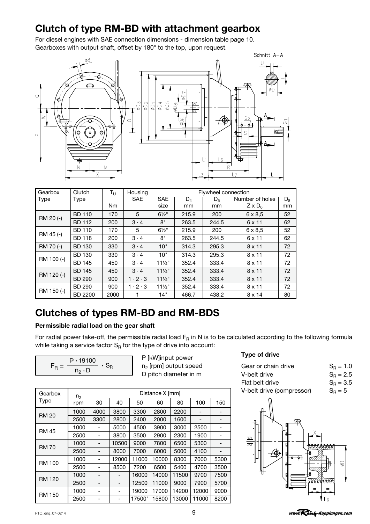# <span id="page-8-0"></span>Clutch of type RM-BD with attachment gearbox

For diesel engines with SAE connection dimensions - dimension table page 10. Gearboxes with output shaft, offset by 180° to the top, upon request.



| Gearbox    | Clutch         | $T_{\rm \tilde{U}}$ | Housing             | Flywheel connection |       |                |                      |       |  |  |  |
|------------|----------------|---------------------|---------------------|---------------------|-------|----------------|----------------------|-------|--|--|--|
| Type       | Type           |                     | <b>SAE</b>          | <b>SAE</b>          | $D_4$ | D <sub>5</sub> | Number of holes      | $D_8$ |  |  |  |
|            |                | N <sub>m</sub>      |                     | size                | mm    | mm             | $Z \times D_{\rm B}$ | mm    |  |  |  |
|            | <b>BD 110</b>  | 170                 | 5                   | $6\frac{1}{2}$ "    | 215.9 | 200            | $6 \times 8.5$       | 52    |  |  |  |
| RM 20 (-)  | <b>BD 112</b>  | 200                 | $3 \cdot 4$         | 8"                  | 263.5 | 244.5          | 6 x 11               | 62    |  |  |  |
|            | <b>BD 110</b>  | 170                 | 5                   | $6\frac{1}{2}$ "    | 215.9 | 200            | $6 \times 8.5$       | 52    |  |  |  |
| RM 45 (-)  | <b>BD 118</b>  | 200                 | $3 \cdot 4$         | 8"                  | 263.5 | 244.5          | 6 x 11               | 62    |  |  |  |
| RM 70 (-)  | <b>BD 130</b>  | 330                 | $3 \cdot 4$         | 10"                 | 314.3 | 295.3          | $8 \times 11$        | 72    |  |  |  |
| RM 100 (-) | <b>BD 130</b>  | 330                 | $3 \cdot 4$         | 10"                 | 314.3 | 295.3          | $8 \times 11$        | 72    |  |  |  |
|            | <b>BD 145</b>  | 450                 | $3 \cdot 4$         | $11\frac{1}{2}$     | 352.4 | 333.4          | $8 \times 11$        | 72    |  |  |  |
|            | <b>BD 145</b>  | 450                 | $3 \cdot 4$         | $11\frac{1}{2}$     | 352.4 | 333.4          | $8 \times 11$        | 72    |  |  |  |
| RM 120 (-) | <b>BD 290</b>  | 900                 | $1 \cdot 2 \cdot 3$ | $11\frac{1}{2}$     | 352.4 | 333.4          | $8 \times 11$        | 72    |  |  |  |
| RM 150 (-) | <b>BD 290</b>  | 900                 | $1 \cdot 2 \cdot 3$ | $11\frac{1}{2}$     | 352.4 | 333.4          | $8 \times 11$        | 72    |  |  |  |
|            | <b>BD 2200</b> | 2000                |                     | 14"                 | 466.7 | 438.2          | 8 x 14               | 80    |  |  |  |

# Clutches of types RM-BD and RM-BDS

### Permissible radial load on the gear shaft

For radial power take-off, the permissible radial load  $F_R$  in N is to be calculated according to the following formula while taking a service factor  $S_R$  for the type of drive into account:

| $P \cdot 19100$ |  |
|-----------------|--|
| $n_2 \cdot D$   |  |

P [kW]input power n2 [rpm] output speed D pitch diameter in m

| Gearbox                            | n <sub>2</sub>       |                          |       |        | Distance X [mm] |                            |       |                          | V-belt drive (compressor)      | $S_R = 5$     |
|------------------------------------|----------------------|--------------------------|-------|--------|-----------------|----------------------------|-------|--------------------------|--------------------------------|---------------|
| Type                               | rpm                  | 30                       | 40    | 50     | 60              | 80                         | 100   | 150                      |                                |               |
|                                    | 1000                 | 4000                     | 3800  | 3300   | 2800            | 2200                       |       | $\qquad \qquad$          |                                |               |
| <b>RM 20</b>                       | 2500                 | 3300                     | 2800  | 2400   | 2000            | 1600                       |       | $\overline{\phantom{a}}$ | ⅏<br>伟                         |               |
|                                    | 1000                 | $\overline{\phantom{0}}$ | 5000  | 4500   | 3900            | 3000                       | 2500  | -                        | 毌                              |               |
|                                    | <b>RM 45</b><br>2500 | -                        | 3800  | 3500   | 2900            | 2300                       | 1900  | $\overline{\phantom{a}}$ | ⋕<br>図                         |               |
| 1000<br>10500<br>-<br><b>RM 70</b> | 9000                 | 7800                     | 6500  | 5300   |                 | 囩<br>뢝<br><b>BAAAAAAAA</b> |       |                          |                                |               |
|                                    | 2500                 | $\overline{\phantom{0}}$ | 8000  | 7000   | 6000            | 5000                       | 4100  |                          | $\overline{\phantom{a}}$<br>∕� |               |
| <b>RM 100</b>                      | 1000                 | $\overline{\phantom{0}}$ | 12000 | 11000  | 10000           | 8300                       | 7000  | 5300                     | 伟<br>٠                         |               |
|                                    | 2500                 | $\overline{\phantom{0}}$ | 8500  | 7200   | 6500            | 5400                       | 4700  | 3500                     | 빠                              | 目<br>$\Theta$ |
|                                    | 1000                 | $\overline{\phantom{0}}$ | -     | 16000  | 14000           | 11500                      | 9700  | 7500                     |                                |               |
| <b>RM 120</b>                      | 2500                 | -                        | -     | 12500  | 11000           | 9000                       | 7900  | 5700                     | t KKKK KKKKK                   |               |
|                                    | 1000                 | ۰                        | -     | 19000  | 17000           | 14200                      | 12000 | 9000                     | ℡                              |               |
| <b>RM 150</b>                      | 2500                 |                          | ٠     | 17500" | 15800           | 13000                      | 11000 | 8200                     |                                | $i$ Fr.       |

# Type of drive

| Gear or chain drive       | $S_{\rm B} = 1.0$ |
|---------------------------|-------------------|
| V-belt drive              | $S_{\rm B} = 2.5$ |
| Flat belt drive           | $S_{\rm B} = 3.5$ |
| V-belt drive (compressor) | $S_B = 5$         |

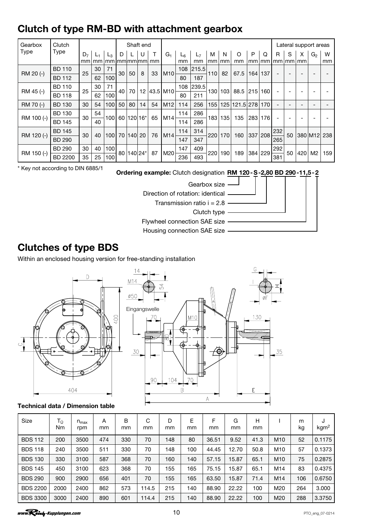# <span id="page-9-0"></span>Clutch of type RM-BD with attachment gearbox

| Gearbox     | Clutch         |                |       |                  |    |         | Shaft end |                                                                               |                 |     |                |            |     |               |     |     |                  |    |         | Lateral support areas |     |
|-------------|----------------|----------------|-------|------------------|----|---------|-----------|-------------------------------------------------------------------------------|-----------------|-----|----------------|------------|-----|---------------|-----|-----|------------------|----|---------|-----------------------|-----|
| <b>Type</b> | <b>Type</b>    | D <sub>7</sub> | $L_1$ | $L_3$            | D  |         |           | T                                                                             | G <sub>1</sub>  | Lᠷ  | L <sub>7</sub> | м          | N   | O             | P   | Q   | R                | S  | X       | G <sub>2</sub>        | W   |
|             |                | mm             | mm    |                  |    |         |           | $mm$ $\lfloor mm \rfloor$ $mm$ $\lfloor mm \rfloor$ $mm$ $\lfloor mm \rfloor$ |                 | mm  | mm             | mm         | mm  | mm            | mm  |     | $mm$   mm $ mm $ |    | l mm    |                       | mm  |
| RM 20 (-)   | <b>BD 110</b>  | 25             | 30    | 71               | 30 | 50      | 8         | 33                                                                            | M10             | 108 | 215.5          | 110        | 82  | 67.5          | 164 | 137 |                  |    |         |                       |     |
|             | <b>BD 112</b>  |                | 62    | 100              |    |         |           |                                                                               |                 | 80  | 187            |            |     |               |     |     |                  |    |         |                       |     |
| RM 45 (-)   | <b>BD 110</b>  | 25             | 30    | 71               | 40 | 70      | 12        |                                                                               | 43.5 M10        | 108 | 239.5          |            | 103 | 88.5 215      |     | 160 |                  |    |         |                       |     |
|             | <b>BD 118</b>  |                | 62    | 100              |    |         |           |                                                                               |                 | 80  | 211            | 130        |     |               |     |     |                  | -  |         |                       |     |
| RM 70 (-)   | <b>BD 130</b>  | 30             | 54    | 100              | 50 | 80      | 14        | 54                                                                            | M <sub>12</sub> | 114 | 256            | 155        |     | 125 121.5 278 |     | 170 |                  |    |         |                       |     |
|             | <b>BD 130</b>  | 30             | 54    | 100 <sub>l</sub> | 60 | 120 16* |           | 65                                                                            |                 | 114 | 286            | 183        | 135 | 135           |     |     |                  |    |         |                       |     |
| RM 100 (-)  | <b>BD 145</b>  |                | 40    |                  |    |         |           |                                                                               | M14             | 114 | 286            |            |     |               | 283 | 176 |                  | -  |         |                       |     |
|             | <b>BD 145</b>  | 30             |       | 100              | 70 |         |           | 76                                                                            |                 | 114 | 314            |            |     |               |     |     | 232              | 50 |         |                       |     |
| RM 120 (-)  | <b>BD 290</b>  |                | 40    |                  |    | 140     | 20        |                                                                               | M <sub>14</sub> | 147 | 347            | 220        | 170 | 160           | 337 | 208 | 265              |    | 380 M12 |                       | 238 |
| RM 150 (-)  | <b>BD 290</b>  | 30             | 40    | 100              | 80 | 140 24* |           | 87                                                                            | M20             | 147 | 409            |            |     |               | 384 |     | 292              | 50 |         | M <sub>2</sub>        |     |
|             | <b>BD 2200</b> | 35             | 25    | 100              |    |         |           |                                                                               |                 | 236 | 493            | 220<br>190 |     | 189           |     | 229 | 381              |    | 420     |                       | 159 |

\* Key not according to DIN 6885/1

Ordering example: Clutch designation RM 120-S-2,80 BD 290-11,5-2



Clutch type  $-$ 

Flywheel connection SAE size

Housing connection SAE size

# Clutches of type BDS

Within an enclosed housing version for free-standing installation



### Technical data / Dimension table

| <b>Size</b>     | Τü<br>Nm | $n_{max}$<br>rpm | A<br>mm | B<br>mm | С<br>mm | D<br>mm | E<br>mm | F<br>mm | G<br>mm | н<br>mm |                 | m<br>kg | J<br>kgm <sup>2</sup> |
|-----------------|----------|------------------|---------|---------|---------|---------|---------|---------|---------|---------|-----------------|---------|-----------------------|
| <b>BDS 112</b>  | 200      | 3500             | 474     | 330     | 70      | 148     | 80      | 36.51   | 9.52    | 41.3    | M <sub>10</sub> | 52      | 0.1175                |
| <b>BDS 118</b>  | 240      | 3500             | 511     | 330     | 70      | 148     | 100     | 44.45   | 12.70   | 50.8    | M <sub>10</sub> | 57      | 0.1373                |
| <b>BDS 130</b>  | 330      | 3100             | 587     | 368     | 70      | 160     | 140     | 57.15   | 15.87   | 65.1    | M <sub>10</sub> | 75      | 0.2875                |
| <b>BDS 145</b>  | 450      | 3100             | 623     | 368     | 70      | 155     | 165     | 75.15   | 15.87   | 65.1    | M14             | 83      | 0.4375                |
| <b>BDS 290</b>  | 900      | 2900             | 656     | 401     | 70      | 155     | 165     | 63.50   | 15.87   | 71.4    | M <sub>14</sub> | 106     | 0.6750                |
| <b>BDS 2200</b> | 2000     | 2400             | 862     | 573     | 114.5   | 215     | 140     | 88.90   | 22.22   | 100     | M20             | 264     | 3.000                 |
| <b>BDS 3300</b> | 3000     | 2400             | 890     | 601     | 114.4   | 215     | 140     | 88.90   | 22.22   | 100     | M <sub>20</sub> | 288     | 3.3750                |

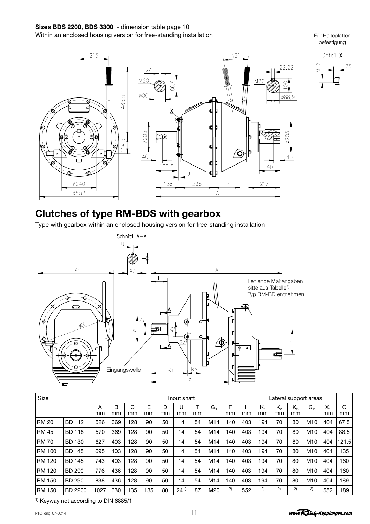Für Halteplatten befestigung

25

<span id="page-10-0"></span>

# Clutches of type RM-BDS with gearbox

Type with gearbox within an enclosed housing version for free-standing installation



| Size          |                |         |         |         | Inout shaft |         |          |    |     |         |         | Lateral support areas |             |             |                 |             |         |
|---------------|----------------|---------|---------|---------|-------------|---------|----------|----|-----|---------|---------|-----------------------|-------------|-------------|-----------------|-------------|---------|
|               |                | A<br>mm | B<br>mm | C<br>mm | Е<br>mm     | D<br>mm | U<br>mm  | mm | G1  | F<br>mm | н<br>mm | K <sub>1</sub><br>mm  | $K_2$<br>mm | $K_3$<br>mm | G <sub>2</sub>  | $X_1$<br>mm | O<br>mm |
| <b>RM 20</b>  | <b>BD 112</b>  | 526     | 369     | 128     | 90          | 50      | 14       | 54 | M14 | 140     | 403     | 194                   | 70          | 80          | M10             | 404         | 67.5    |
| <b>RM 45</b>  | <b>BD 118</b>  | 570     | 369     | 128     | 90          | 50      | 14       | 54 | M14 | 140     | 403     | 194                   | 70          | 80          | M10             | 404         | 88.5    |
| <b>IRM 70</b> | <b>BD 130</b>  | 627     | 403     | 128     | 90          | 50      | 14       | 54 | M14 | 140     | 403     | 194                   | 70          | 80          | M <sub>10</sub> | 404         | 121.5   |
| <b>RM 100</b> | <b>BD 145</b>  | 695     | 403     | 128     | 90          | 50      | 14       | 54 | M14 | 140     | 403     | 194                   | 70          | 80          | M10             | 404         | 135     |
| <b>RM 120</b> | <b>BD 145</b>  | 743     | 403     | 128     | 90          | 50      | 14       | 54 | M14 | 140     | 403     | 194                   | 70          | 80          | M10             | 404         | 160     |
| <b>RM 120</b> | <b>BD 290</b>  | 776     | 436     | 128     | 90          | 50      | 14       | 54 | M14 | 140     | 403     | 194                   | 70          | 80          | M10             | 404         | 160     |
| <b>RM 150</b> | <b>BD 290</b>  | 838     | 436     | 128     | 90          | 50      | 14       | 54 | M14 | 140     | 403     | 194                   | 70          | 80          | M10             | 404         | 189     |
| <b>RM 150</b> | <b>BD 2200</b> | 1027    | 630     | 135     | 135         | 80      | $24^{1}$ | 87 | M20 | 2)      | 552     | 2)                    | 2)          | 2)          | 2)              | 552         | 189     |

1) Keyway not according to DIN 6885/1

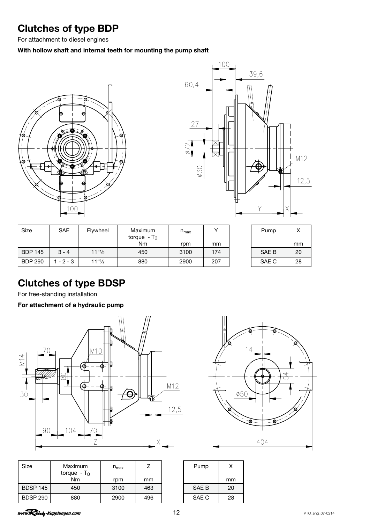# <span id="page-11-0"></span>Clutches of type BDP

For attachment to diesel engines

### With hollow shaft and internal teeth for mounting the pump shaft





| Size           | <b>SAE</b> | Flywheel                          | Maximum<br>torque - T <sub>ü</sub> | $n_{\text{max}}$ |     | Pump  |    |
|----------------|------------|-----------------------------------|------------------------------------|------------------|-----|-------|----|
|                |            |                                   | Nm                                 | rpm              | mm  |       | mn |
| <b>BDP 145</b> | $3 - 4$    | $11"$ <sup>1</sup> / <sub>2</sub> | 450                                | 3100             | 174 | SAE B | 20 |
| <b>BDP 290</b> | $-2-3$     | $11"$ <sup>2</sup>                | 880                                | 2900             | 207 | SAE C | 28 |

| Pump  | x  |  |  |  |  |
|-------|----|--|--|--|--|
|       | mm |  |  |  |  |
| SAE B | 20 |  |  |  |  |
| SAE C | 28 |  |  |  |  |

# Clutches of type BDSP

For free-standing installation

For attachment of a hydraulic pump



| <b>Size</b>     | Maximum<br>torque - $T_{\rm th}$ | $n_{max}$ |     | Pump  | X  |
|-----------------|----------------------------------|-----------|-----|-------|----|
|                 | <b>Nm</b>                        | rpm       | mm  |       | mn |
| <b>BDSP 145</b> | 450                              | 3100      | 463 | SAE B | 20 |
| <b>BDSP 290</b> | 880                              | 2900      | 496 | SAE C | 28 |



| Pump  | x  |  |  |  |  |
|-------|----|--|--|--|--|
|       | mm |  |  |  |  |
| SAE B | 20 |  |  |  |  |
| SAE C | 28 |  |  |  |  |

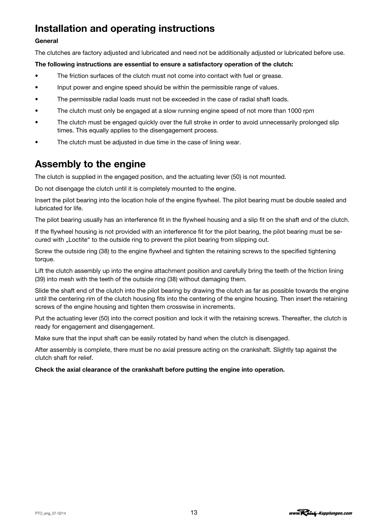# <span id="page-12-0"></span>Installation and operating instructions

### General

The clutches are factory adjusted and lubricated and need not be additionally adjusted or lubricated before use.

### The following instructions are essential to ensure a satisfactory operation of the clutch:

- The friction surfaces of the clutch must not come into contact with fuel or grease.
- Input power and engine speed should be within the permissible range of values.
- The permissible radial loads must not be exceeded in the case of radial shaft loads.
- The clutch must only be engaged at a slow running engine speed of not more than 1000 rpm
- The clutch must be engaged quickly over the full stroke in order to avoid unnecessarily prolonged slip times. This equally applies to the disengagement process.
- The clutch must be adjusted in due time in the case of lining wear.

# Assembly to the engine

The clutch is supplied in the engaged position, and the actuating lever (50) is not mounted.

Do not disengage the clutch until it is completely mounted to the engine.

Insert the pilot bearing into the location hole of the engine flywheel. The pilot bearing must be double sealed and lubricated for life.

The pilot bearing usually has an interference fit in the flywheel housing and a slip fit on the shaft end of the clutch.

If the flywheel housing is not provided with an interference fit for the pilot bearing, the pilot bearing must be secured with "Loctite" to the outside ring to prevent the pilot bearing from slipping out.

Screw the outside ring (38) to the engine flywheel and tighten the retaining screws to the specified tightening torque.

Lift the clutch assembly up into the engine attachment position and carefully bring the teeth of the friction lining (39) into mesh with the teeth of the outside ring (38) without damaging them.

Slide the shaft end of the clutch into the pilot bearing by drawing the clutch as far as possible towards the engine until the centering rim of the clutch housing fits into the centering of the engine housing. Then insert the retaining screws of the engine housing and tighten them crosswise in increments.

Put the actuating lever (50) into the correct position and lock it with the retaining screws. Thereafter, the clutch is ready for engagement and disengagement.

Make sure that the input shaft can be easily rotated by hand when the clutch is disengaged.

After assembly is complete, there must be no axial pressure acting on the crankshaft. Slightly tap against the clutch shaft for relief.

### Check the axial clearance of the crankshaft before putting the engine into operation.

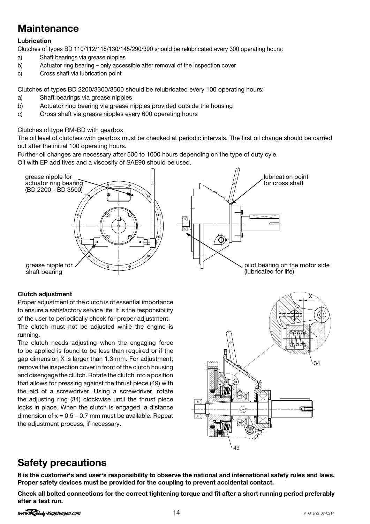# <span id="page-13-0"></span>Maintenance

### Lubrication

Clutches of types BD 110/112/118/130/145/290/390 should be relubricated every 300 operating hours:

- a) Shaft bearings via grease nipples
- b) Actuator ring bearing only accessible after removal of the inspection cover
- c) Cross shaft via lubrication point

Clutches of types BD 2200/3300/3500 should be relubricated every 100 operating hours:

- a) Shaft bearings via grease nipples
- b) Actuator ring bearing via grease nipples provided outside the housing
- c) Cross shaft via grease nipples every 600 operating hours

Clutches of type RM-BD with gearbox

The oil level of clutches with gearbox must be checked at periodic intervals. The first oil change should be carried out after the initial 100 operating hours.

Further oil changes are necessary after 500 to 1000 hours depending on the type of duty cyle.

Oil with EP additives and a viscosity of SAE90 should be used.



### Clutch adjustment

Proper adjustment of the clutch is of essential importance to ensure a satisfactory service life. It is the responsibility of the user to periodically check for proper adjustment.

The clutch must not be adjusted while the engine is running.

The clutch needs adjusting when the engaging force to be applied is found to be less than required or if the gap dimension X is larger than 1.3 mm. For adjustment, remove the inspection cover in front of the clutch housing and disengage the clutch. Rotate the clutch into a position that allows for pressing against the thrust piece (49) with the aid of a screwdriver. Using a screwdriver, rotate the adjusting ring (34) clockwise until the thrust piece locks in place. When the clutch is engaged, a distance dimension of  $x = 0.5 - 0.7$  mm must be available. Repeat the adjustment process, if necessary.



# Safety precautions

lt is the customer's and user's responsibility to observe the national and international safety rules and laws. Proper safety devices must be provided for the coupling to prevent accidental contact.

Check all bolted connections for the correct tightening torque and fit after a short running period preferably after a test run.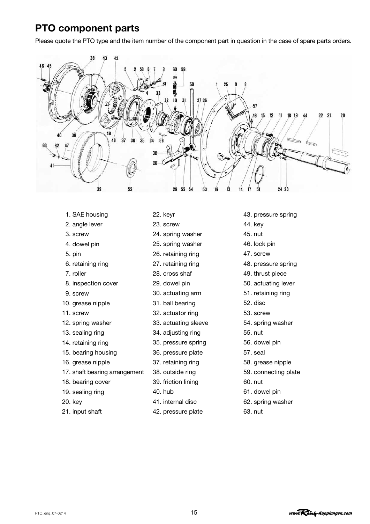# <span id="page-14-0"></span>PTO component parts

Please quote the PTO type and the item number of the component part in question in the case of spare parts orders.



- 1. SAE housing
- 2. angle lever
- 3. screw
- 4. dowel pin
- 5. pin
- 6. retaining ring
- 7. roller
- 8. inspection cover
- 9. screw
- 10. grease nipple
- 11. screw
- 12. spring washer
- 13. sealing ring
- 14. retaining ring
- 15. bearing housing
- 16. grease nipple
- 17. shaft bearing arrangement
- 18. bearing cover
- 19. sealing ring
- 20. key
- 21. input shaft
- 22. keyr
- 23. screw
- 24. spring washer
- 25. spring washer
- 26. retaining ring
- 27. retaining ring
- 28. cross shaf
- 29. dowel pin
- 30. actuating arm
- 31. ball bearing
- 32. actuator ring
- 33. actuating sleeve
- 34. adjusting ring
- 35. pressure spring
- 36. pressure plate
- 37. retaining ring
- 38. outside ring
- 39. friction lining
- 40. hub
- 41. internal disc
- 42. pressure plate
- 43. pressure spring
- 44. key
- 45. nut
- 46. lock pin
- 47. screw
- 48. pressure spring
- 49. thrust piece
- 50. actuating lever
- 51. retaining ring
- 52. disc
- 53. screw
- 54. spring washer
- 55. nut
- 56. dowel pin
- 57. seal
- 58. grease nipple
- 59. connecting plate
- 60. nut
- 61. dowel pin
- 62. spring washer
- 63. nut